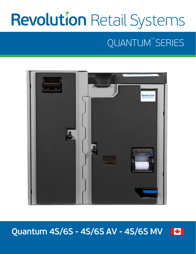# **Revolution Retail Systems**

## QUANTUM<sup>™</sup>SERIES



#### **Quantum 4S/6S - 4S/6S AV - 4S/6S MV** \*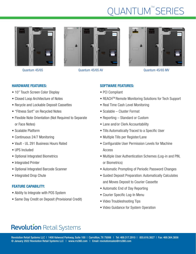## QUANTUM<sup>™</sup>SERIES



Quantum 4S/6S





Quantum 4S/6S AV Quantum 4S/6S MV

#### HARDWARE FEATURES:

- 10" Touch Screen Color Display
- Closed Loop Architecture of Notes
- Recycle and Lockable Deposit Cassettes
- "Fitness Sort" on Recycled Notes
- Flexible Note Orientation (Not Required to Separate or Face Notes)
- Scalable Platform
- Continuous 24/7 Monitoring
- Vault UL 291 Business Hours Rated
- UPS Included
- Optional Integrated Biometrics
- Integrated Printer
- Optional Integrated Barcode Scanner
- Integrated Drop Chute

#### FEATURE CAPABILITY:

- Ability to Integrate with POS System
- Same Day Credit on Deposit (Provisional Credit)

### SOFTWARE FEATURES:

- PCI Compliant
- REACHTM Remote Monitoring Solutions for Tech Support
- Real Time Cash Level Monitoring
- Scalable Cluster Format
- Reporting Standard or Custom
- Lane and/or Clerk Accountability
- Tills Automatically Traced to a Specific User
- Multiple Tills per Register/Lane
- Configurable User Permission Levels for Machine Access
- Multiple User Authentication Schemes (Log-in and PIN, or Biometrics)
- Automatic Prompting of Periodic Password Changes
- Guided Deposit Preparation: Automatically Calculates and Moves Deposit to Courier Cassette
- Automatic End of Day Reporting
- Courier Specific Log-In Menu
- Video Troubleshooting Tips
- Video Guidance for System Operation

## **Revolution Retail Systems**

Revolution Retail Systems LLC | 1400 Valwood Parkway, Suite 100 | Carrollton, TX 75006 | Tel: 469.317.2910 | 855.616.3827 | Fax: 469.364.3856 © January 2022 Revolution Retail Systems LLC | www.rrs360.com | Email: revolutionsales@rrs360.com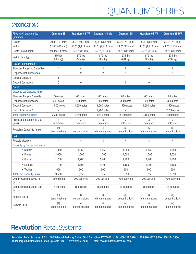## QUANTUM<sup>™</sup>SERIES

### **SPECIFICATIONS**

| <b>Physical Characteristics</b><br>(nominal): | <b>Quantum 4S</b>    | <b>Quantum 4S AV</b> | <b>Quantum 4S MV</b> | <b>Quantum 6S</b>    | <b>Quantum 6S AV</b> | <b>Quantum 6S MV</b> |
|-----------------------------------------------|----------------------|----------------------|----------------------|----------------------|----------------------|----------------------|
| Height                                        | 30.8" (781 mm)       | 30.8" (781 mm)       | 30.8" (781 mm)       | 30.8" (781 mm)       | 30.8" (781 mm)       | 30.8" (781 mm)       |
| Width                                         | 32.0" (813 mm)       | 44.0" (1,118 mm)     | 44.0" (1,118 mm)     | 32.0" (813 mm)       | 44.0" (1,118 mm)     | 44.0" (1,118 mm)     |
| Depth (install depth)                         | 24.1"(611 mm)        | 24.1"(611 mm)        | 24.1"(611 mm)        | 24.1"(611 mm)        | 24.1"(611 mm)        | 24.1"(611 mm)        |
| Weight (empty)                                | 575 lbs<br>(261 kg)  | 875 lbs<br>(397 kg)  | 875 lbs<br>(397 kg)  | 575 lbs<br>(261 kg)  | 875 lbs<br>(397 kg)  | 875 lbs<br>(397 kg)  |
| <b>Device Configuration:</b>                  |                      |                      |                      |                      |                      |                      |
| <b>Standard Recycling Cassettes</b>           | 4                    | 4                    | 4                    | 6                    | 6                    | 6                    |
| Dispense/Refill Cassettes                     | $\overline{c}$       | $\overline{c}$       | $\overline{c}$       | 1                    | 1                    | 1                    |
| Deposit Cassette 1                            | $\mathbf{1}$         | 1                    | 1                    | 1                    | 1                    | 1                    |
| Deposit Cassette 2                            | $\boldsymbol{0}$     | 0                    | 1                    | 0                    | $\boldsymbol{0}$     | 1                    |
| Notes:                                        |                      |                      |                      |                      |                      |                      |
| Capacity per Cassette (max)*:                 |                      |                      |                      |                      |                      |                      |
| <b>Standard Recycle Cassette</b>              | 60 notes             | 60 notes             | 60 notes             | 60 notes             | 60 notes             | 60 notes             |
| Dispense/Refill Cassette                      | 300 notes            | 300 notes            | 300 notes            | 300 notes            | 300 notes            | 300 notes            |
| Deposit Cassette 1                            | 1,500 notes          | 1,500 notes          | 1,500 notes          | 1,500 notes          | 1,500 notes          | 1,500 notes          |
| Deposit Cassette 2                            |                      |                      | 2,200 notes          |                      |                      | 2.200 notes          |
| <b>Total Capacity of Notes</b>                | 2,340 notes          | 2,340 notes          | 4.540 notes          | 2,160 notes          | 2,160 notes          | 4,360 notes          |
| Processing Speed In or Out                    | 3                    | 3                    | 3                    | 3                    | 3                    | 3                    |
| (max)                                         | notes/sec            | notes/sec            | notes/sec            | notes/sec            | notes/sec            | notes/sec            |
| Recycling Capability (max)                    | (4)<br>denominations | (4)<br>denominations | (4)<br>denominations | (6)<br>denominations | (6)<br>denominations | (6)<br>denominations |
| Coin:                                         |                      |                      |                      |                      |                      |                      |
| <b>Recycle Modules</b>                        | 4                    | 4                    | 4                    | 4                    | 4                    | 4                    |
| <b>Capacity by Denomination (max):</b>        |                      |                      |                      |                      |                      |                      |
| • Nickels                                     | 1,850                | 1,850                | 1,850                | 1,850                | 1,850                | 1,850                |
| • Dimes                                       | 4,000                | 4,000                | 4,000                | 4,000                | 4,000                | 4,000                |
| • Quarters                                    | 1,700                | 1,700                | 1,700                | 1,700                | 1,700                | 1,700                |
| • Loonies                                     | 1,100                | 1,100                | 1,100                | 1,100                | 1,100                | 1,100                |
| • Toonies                                     | 900                  | 900                  | 900                  | 900                  | 900                  | 900                  |
| <b>Total Coin Capacity (max)</b>              | 9,550                | 9,550                | 9,550                | 9,550                | 9,550                | 9,550                |
| Coin Processing Speed In<br>(up to)           | 700 coin/min         | 700 coin/min         | 700 coin/min         | 700 coin/min         | 700 coin/min         | 700 coin/min         |
| Coin processing Speed Out<br>(up to)          | 16 coin/sec          | 16 coin/sec          | 16 coin/sec          | 16 coin/sec          | 16 coin/sec          | 16 coin/sec          |
| Accepts Up To                                 | (6)<br>denominations | (6)<br>denominations | (6)<br>denominations | (6)<br>denominations | (6)<br>denominations | (6)<br>denominations |
| Recycle Up To                                 | (4)<br>denominations | (4)<br>denominations | (4)<br>denominations | (4)<br>denominations | (4)<br>denominations | (4)<br>denominations |

### **Revolution Retail Systems**

Revolution Retail Systems LLC | 1400 Valwood Parkway, Suite 100 | Carrollton, TX 75006 | Tel: 469.317.2910 | 855.616.3827 | Fax: 469.364.3856 © January 2022 Revolution Retail Systems LLC | www.rrs360.com | Email: revolutionsales@rrs360.com